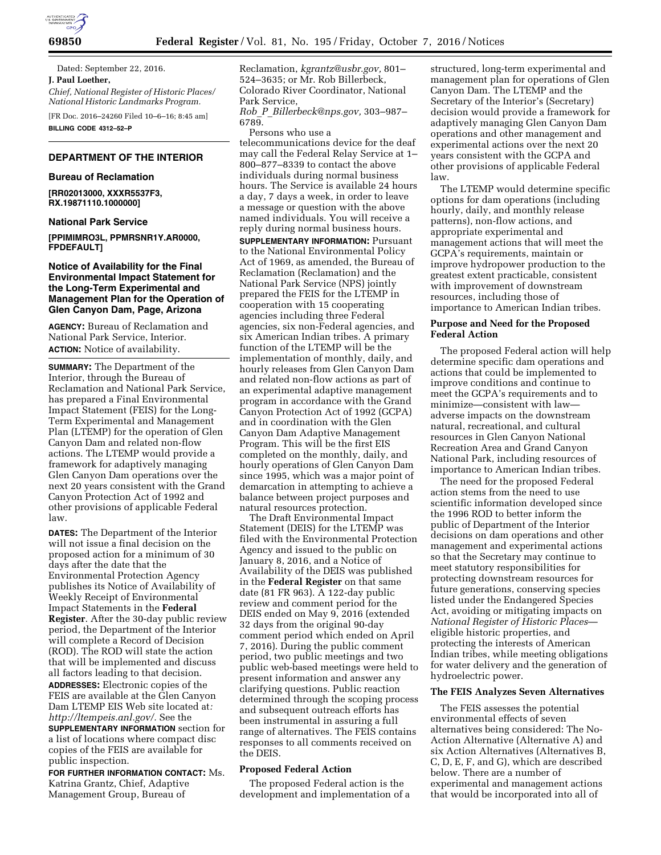

**69850 Federal Register** / Vol. 81, No. 195 / Friday, October 7, 2016 / Notices

Dated: September 22, 2016. **J. Paul Loether,**  *Chief, National Register of Historic Places/ National Historic Landmarks Program.* 

[FR Doc. 2016–24260 Filed 10–6–16; 8:45 am] **BILLING CODE 4312–52–P** 

# **DEPARTMENT OF THE INTERIOR**

#### **Bureau of Reclamation**

**[RR02013000, XXXR5537F3, RX.19871110.1000000]** 

#### **National Park Service**

**[PPIMIMRO3L, PPMRSNR1Y.AR0000, FPDEFAULT]** 

# **Notice of Availability for the Final Environmental Impact Statement for the Long-Term Experimental and Management Plan for the Operation of Glen Canyon Dam, Page, Arizona**

**AGENCY:** Bureau of Reclamation and National Park Service, Interior. **ACTION:** Notice of availability.

**SUMMARY:** The Department of the Interior, through the Bureau of Reclamation and National Park Service, has prepared a Final Environmental Impact Statement (FEIS) for the Long-Term Experimental and Management Plan (LTEMP) for the operation of Glen Canyon Dam and related non-flow actions. The LTEMP would provide a framework for adaptively managing Glen Canyon Dam operations over the next 20 years consistent with the Grand Canyon Protection Act of 1992 and other provisions of applicable Federal law.

**DATES:** The Department of the Interior will not issue a final decision on the proposed action for a minimum of 30 days after the date that the Environmental Protection Agency publishes its Notice of Availability of Weekly Receipt of Environmental Impact Statements in the **Federal Register**. After the 30-day public review period, the Department of the Interior will complete a Record of Decision (ROD). The ROD will state the action that will be implemented and discuss all factors leading to that decision.

**ADDRESSES:** Electronic copies of the FEIS are available at the Glen Canyon Dam LTEMP EIS Web site located at*: [http://ltempeis.anl.gov/.](http://ltempeis.anl.gov/)* See the **SUPPLEMENTARY INFORMATION** section for a list of locations where compact disc copies of the FEIS are available for public inspection.

**FOR FURTHER INFORMATION CONTACT:** Ms. Katrina Grantz, Chief, Adaptive Management Group, Bureau of

Reclamation, *[kgrantz@usbr.gov,](mailto:kgrantz@usbr.gov)* 801– 524–3635; or Mr. Rob Billerbeck, Colorado River Coordinator, National Park Service,

*Rob*\_*P*\_*[Billerbeck@nps.gov,](mailto:Rob_P_Billerbeck@nps.gov)* 303–987– 6789.

Persons who use a telecommunications device for the deaf may call the Federal Relay Service at 1– 800–877–8339 to contact the above individuals during normal business hours. The Service is available 24 hours a day, 7 days a week, in order to leave a message or question with the above named individuals. You will receive a reply during normal business hours.

**SUPPLEMENTARY INFORMATION: Pursuant** to the National Environmental Policy Act of 1969, as amended, the Bureau of Reclamation (Reclamation) and the National Park Service (NPS) jointly prepared the FEIS for the LTEMP in cooperation with 15 cooperating agencies including three Federal agencies, six non-Federal agencies, and six American Indian tribes. A primary function of the LTEMP will be the implementation of monthly, daily, and hourly releases from Glen Canyon Dam and related non-flow actions as part of an experimental adaptive management program in accordance with the Grand Canyon Protection Act of 1992 (GCPA) and in coordination with the Glen Canyon Dam Adaptive Management Program. This will be the first EIS completed on the monthly, daily, and hourly operations of Glen Canyon Dam since 1995, which was a major point of demarcation in attempting to achieve a balance between project purposes and natural resources protection.

The Draft Environmental Impact Statement (DEIS) for the LTEMP was filed with the Environmental Protection Agency and issued to the public on January 8, 2016, and a Notice of Availability of the DEIS was published in the **Federal Register** on that same date (81 FR 963). A 122-day public review and comment period for the DEIS ended on May 9, 2016 (extended 32 days from the original 90-day comment period which ended on April 7, 2016). During the public comment period, two public meetings and two public web-based meetings were held to present information and answer any clarifying questions. Public reaction determined through the scoping process and subsequent outreach efforts has been instrumental in assuring a full range of alternatives. The FEIS contains responses to all comments received on the DEIS.

## **Proposed Federal Action**

The proposed Federal action is the development and implementation of a structured, long-term experimental and management plan for operations of Glen Canyon Dam. The LTEMP and the Secretary of the Interior's (Secretary) decision would provide a framework for adaptively managing Glen Canyon Dam operations and other management and experimental actions over the next 20 years consistent with the GCPA and other provisions of applicable Federal law.

The LTEMP would determine specific options for dam operations (including hourly, daily, and monthly release patterns), non-flow actions, and appropriate experimental and management actions that will meet the GCPA's requirements, maintain or improve hydropower production to the greatest extent practicable, consistent with improvement of downstream resources, including those of importance to American Indian tribes.

### **Purpose and Need for the Proposed Federal Action**

The proposed Federal action will help determine specific dam operations and actions that could be implemented to improve conditions and continue to meet the GCPA's requirements and to minimize—consistent with law adverse impacts on the downstream natural, recreational, and cultural resources in Glen Canyon National Recreation Area and Grand Canyon National Park, including resources of importance to American Indian tribes.

The need for the proposed Federal action stems from the need to use scientific information developed since the 1996 ROD to better inform the public of Department of the Interior decisions on dam operations and other management and experimental actions so that the Secretary may continue to meet statutory responsibilities for protecting downstream resources for future generations, conserving species listed under the Endangered Species Act, avoiding or mitigating impacts on *National Register of Historic Places* eligible historic properties, and protecting the interests of American Indian tribes, while meeting obligations for water delivery and the generation of hydroelectric power.

# **The FEIS Analyzes Seven Alternatives**

The FEIS assesses the potential environmental effects of seven alternatives being considered: The No-Action Alternative (Alternative A) and six Action Alternatives (Alternatives B, C, D, E, F, and G), which are described below. There are a number of experimental and management actions that would be incorporated into all of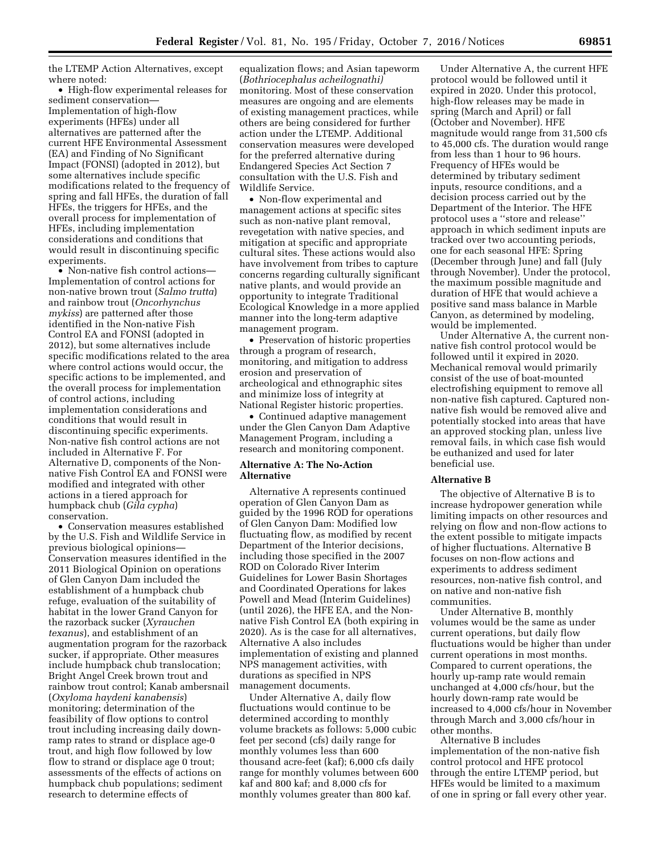the LTEMP Action Alternatives, except where noted:

• High-flow experimental releases for sediment conservation— Implementation of high-flow experiments (HFEs) under all alternatives are patterned after the current HFE Environmental Assessment (EA) and Finding of No Significant Impact (FONSI) (adopted in 2012), but some alternatives include specific modifications related to the frequency of spring and fall HFEs, the duration of fall HFEs, the triggers for HFEs, and the overall process for implementation of HFEs, including implementation considerations and conditions that would result in discontinuing specific experiments.

• Non-native fish control actions— Implementation of control actions for non-native brown trout (*Salmo trutta*) and rainbow trout (*Oncorhynchus mykiss*) are patterned after those identified in the Non-native Fish Control EA and FONSI (adopted in 2012), but some alternatives include specific modifications related to the area where control actions would occur, the specific actions to be implemented, and the overall process for implementation of control actions, including implementation considerations and conditions that would result in discontinuing specific experiments. Non-native fish control actions are not included in Alternative F. For Alternative D, components of the Nonnative Fish Control EA and FONSI were modified and integrated with other actions in a tiered approach for humpback chub (*Gila cypha*) conservation.

• Conservation measures established by the U.S. Fish and Wildlife Service in previous biological opinions— Conservation measures identified in the 2011 Biological Opinion on operations of Glen Canyon Dam included the establishment of a humpback chub refuge, evaluation of the suitability of habitat in the lower Grand Canyon for the razorback sucker (*Xyrauchen texanus*), and establishment of an augmentation program for the razorback sucker, if appropriate. Other measures include humpback chub translocation; Bright Angel Creek brown trout and rainbow trout control; Kanab ambersnail (*Oxyloma haydeni kanabensis*) monitoring; determination of the feasibility of flow options to control trout including increasing daily downramp rates to strand or displace age-0 trout, and high flow followed by low flow to strand or displace age 0 trout; assessments of the effects of actions on humpback chub populations; sediment research to determine effects of

equalization flows; and Asian tapeworm (*Bothriocephalus acheilognathi)*  monitoring. Most of these conservation measures are ongoing and are elements of existing management practices, while others are being considered for further action under the LTEMP. Additional conservation measures were developed for the preferred alternative during Endangered Species Act Section 7 consultation with the U.S. Fish and Wildlife Service.

• Non-flow experimental and management actions at specific sites such as non-native plant removal, revegetation with native species, and mitigation at specific and appropriate cultural sites. These actions would also have involvement from tribes to capture concerns regarding culturally significant native plants, and would provide an opportunity to integrate Traditional Ecological Knowledge in a more applied manner into the long-term adaptive management program.

• Preservation of historic properties through a program of research, monitoring, and mitigation to address erosion and preservation of archeological and ethnographic sites and minimize loss of integrity at National Register historic properties.

• Continued adaptive management under the Glen Canyon Dam Adaptive Management Program, including a research and monitoring component.

## **Alternative A: The No-Action Alternative**

Alternative A represents continued operation of Glen Canyon Dam as guided by the 1996 ROD for operations of Glen Canyon Dam: Modified low fluctuating flow, as modified by recent Department of the Interior decisions, including those specified in the 2007 ROD on Colorado River Interim Guidelines for Lower Basin Shortages and Coordinated Operations for lakes Powell and Mead (Interim Guidelines) (until 2026), the HFE EA, and the Nonnative Fish Control EA (both expiring in 2020). As is the case for all alternatives, Alternative A also includes implementation of existing and planned NPS management activities, with durations as specified in NPS management documents.

Under Alternative A, daily flow fluctuations would continue to be determined according to monthly volume brackets as follows: 5,000 cubic feet per second (cfs) daily range for monthly volumes less than 600 thousand acre-feet (kaf); 6,000 cfs daily range for monthly volumes between 600 kaf and 800 kaf; and 8,000 cfs for monthly volumes greater than 800 kaf.

Under Alternative A, the current HFE protocol would be followed until it expired in 2020. Under this protocol, high-flow releases may be made in spring (March and April) or fall (October and November). HFE magnitude would range from 31,500 cfs to 45,000 cfs. The duration would range from less than 1 hour to 96 hours. Frequency of HFEs would be determined by tributary sediment inputs, resource conditions, and a decision process carried out by the Department of the Interior. The HFE protocol uses a ''store and release'' approach in which sediment inputs are tracked over two accounting periods, one for each seasonal HFE: Spring (December through June) and fall (July through November). Under the protocol, the maximum possible magnitude and duration of HFE that would achieve a positive sand mass balance in Marble Canyon, as determined by modeling, would be implemented.

Under Alternative A, the current nonnative fish control protocol would be followed until it expired in 2020. Mechanical removal would primarily consist of the use of boat-mounted electrofishing equipment to remove all non-native fish captured. Captured nonnative fish would be removed alive and potentially stocked into areas that have an approved stocking plan, unless live removal fails, in which case fish would be euthanized and used for later beneficial use.

# **Alternative B**

The objective of Alternative B is to increase hydropower generation while limiting impacts on other resources and relying on flow and non-flow actions to the extent possible to mitigate impacts of higher fluctuations. Alternative B focuses on non-flow actions and experiments to address sediment resources, non-native fish control, and on native and non-native fish communities.

Under Alternative B, monthly volumes would be the same as under current operations, but daily flow fluctuations would be higher than under current operations in most months. Compared to current operations, the hourly up-ramp rate would remain unchanged at 4,000 cfs/hour, but the hourly down-ramp rate would be increased to 4,000 cfs/hour in November through March and 3,000 cfs/hour in other months.

Alternative B includes implementation of the non-native fish control protocol and HFE protocol through the entire LTEMP period, but HFEs would be limited to a maximum of one in spring or fall every other year.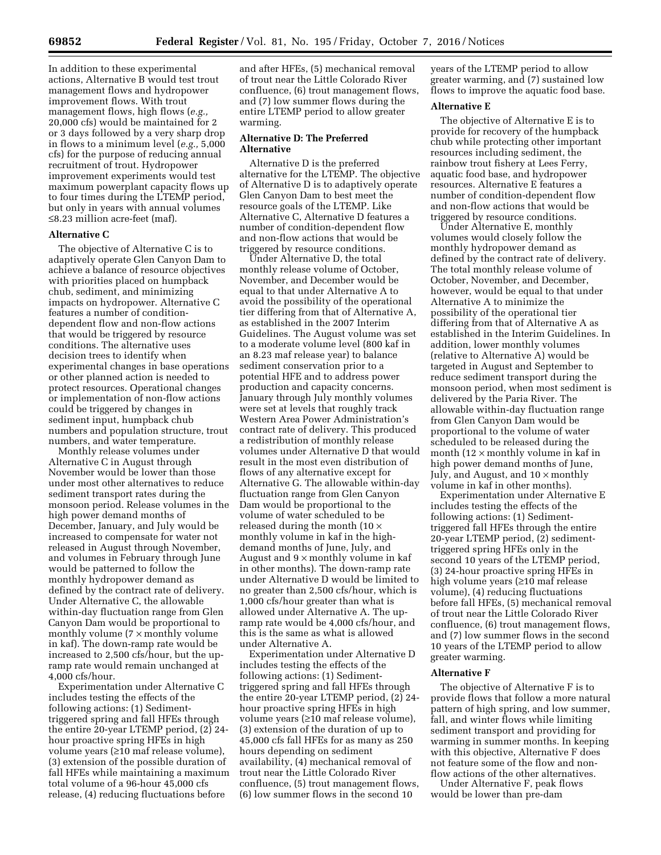In addition to these experimental actions, Alternative B would test trout management flows and hydropower improvement flows. With trout management flows, high flows (*e.g.,*  20,000 cfs) would be maintained for 2 or 3 days followed by a very sharp drop in flows to a minimum level (*e.g.,* 5,000 cfs) for the purpose of reducing annual recruitment of trout. Hydropower improvement experiments would test maximum powerplant capacity flows up to four times during the LTEMP period, but only in years with annual volumes ≤8.23 million acre-feet (maf).

### **Alternative C**

The objective of Alternative C is to adaptively operate Glen Canyon Dam to achieve a balance of resource objectives with priorities placed on humpback chub, sediment, and minimizing impacts on hydropower. Alternative C features a number of conditiondependent flow and non-flow actions that would be triggered by resource conditions. The alternative uses decision trees to identify when experimental changes in base operations or other planned action is needed to protect resources. Operational changes or implementation of non-flow actions could be triggered by changes in sediment input, humpback chub numbers and population structure, trout numbers, and water temperature.

Monthly release volumes under Alternative C in August through November would be lower than those under most other alternatives to reduce sediment transport rates during the monsoon period. Release volumes in the high power demand months of December, January, and July would be increased to compensate for water not released in August through November, and volumes in February through June would be patterned to follow the monthly hydropower demand as defined by the contract rate of delivery. Under Alternative C, the allowable within-day fluctuation range from Glen Canyon Dam would be proportional to monthly volume  $(7 \times \text{month})$  volume in kaf). The down-ramp rate would be increased to 2,500 cfs/hour, but the upramp rate would remain unchanged at 4,000 cfs/hour.

Experimentation under Alternative C includes testing the effects of the following actions: (1) Sedimenttriggered spring and fall HFEs through the entire 20-year LTEMP period, (2) 24 hour proactive spring HFEs in high volume years (≥10 maf release volume), (3) extension of the possible duration of fall HFEs while maintaining a maximum total volume of a 96-hour 45,000 cfs release, (4) reducing fluctuations before

and after HFEs, (5) mechanical removal of trout near the Little Colorado River confluence, (6) trout management flows, and (7) low summer flows during the entire LTEMP period to allow greater warming.

### **Alternative D: The Preferred Alternative**

Alternative D is the preferred alternative for the LTEMP. The objective of Alternative D is to adaptively operate Glen Canyon Dam to best meet the resource goals of the LTEMP. Like Alternative C, Alternative D features a number of condition-dependent flow and non-flow actions that would be triggered by resource conditions.

Under Alternative D, the total monthly release volume of October, November, and December would be equal to that under Alternative A to avoid the possibility of the operational tier differing from that of Alternative A, as established in the 2007 Interim Guidelines. The August volume was set to a moderate volume level (800 kaf in an 8.23 maf release year) to balance sediment conservation prior to a potential HFE and to address power production and capacity concerns. January through July monthly volumes were set at levels that roughly track Western Area Power Administration's contract rate of delivery. This produced a redistribution of monthly release volumes under Alternative D that would result in the most even distribution of flows of any alternative except for Alternative G. The allowable within-day fluctuation range from Glen Canyon Dam would be proportional to the volume of water scheduled to be released during the month (10 × monthly volume in kaf in the highdemand months of June, July, and August and  $9 \times$  monthly volume in kaf in other months). The down-ramp rate under Alternative D would be limited to no greater than 2,500 cfs/hour, which is 1,000 cfs/hour greater than what is allowed under Alternative A. The upramp rate would be 4,000 cfs/hour, and this is the same as what is allowed under Alternative A.

Experimentation under Alternative D includes testing the effects of the following actions: (1) Sedimenttriggered spring and fall HFEs through the entire 20-year LTEMP period, (2) 24 hour proactive spring HFEs in high volume years (≥10 maf release volume), (3) extension of the duration of up to 45,000 cfs fall HFEs for as many as 250 hours depending on sediment availability, (4) mechanical removal of trout near the Little Colorado River confluence, (5) trout management flows, (6) low summer flows in the second 10

years of the LTEMP period to allow greater warming, and (7) sustained low flows to improve the aquatic food base.

### **Alternative E**

The objective of Alternative E is to provide for recovery of the humpback chub while protecting other important resources including sediment, the rainbow trout fishery at Lees Ferry, aquatic food base, and hydropower resources. Alternative E features a number of condition-dependent flow and non-flow actions that would be triggered by resource conditions.

Under Alternative E, monthly volumes would closely follow the monthly hydropower demand as defined by the contract rate of delivery. The total monthly release volume of October, November, and December, however, would be equal to that under Alternative A to minimize the possibility of the operational tier differing from that of Alternative A as established in the Interim Guidelines. In addition, lower monthly volumes (relative to Alternative A) would be targeted in August and September to reduce sediment transport during the monsoon period, when most sediment is delivered by the Paria River. The allowable within-day fluctuation range from Glen Canyon Dam would be proportional to the volume of water scheduled to be released during the month (12  $\times$  monthly volume in kaf in high power demand months of June, July, and August, and  $10 \times$  monthly volume in kaf in other months).

Experimentation under Alternative E includes testing the effects of the following actions: (1) Sedimenttriggered fall HFEs through the entire 20-year LTEMP period, (2) sedimenttriggered spring HFEs only in the second 10 years of the LTEMP period, (3) 24-hour proactive spring HFEs in high volume years (≥10 maf release volume), (4) reducing fluctuations before fall HFEs, (5) mechanical removal of trout near the Little Colorado River confluence, (6) trout management flows, and (7) low summer flows in the second 10 years of the LTEMP period to allow greater warming.

#### **Alternative F**

The objective of Alternative F is to provide flows that follow a more natural pattern of high spring, and low summer, fall, and winter flows while limiting sediment transport and providing for warming in summer months. In keeping with this objective, Alternative F does not feature some of the flow and nonflow actions of the other alternatives.

Under Alternative F, peak flows would be lower than pre-dam